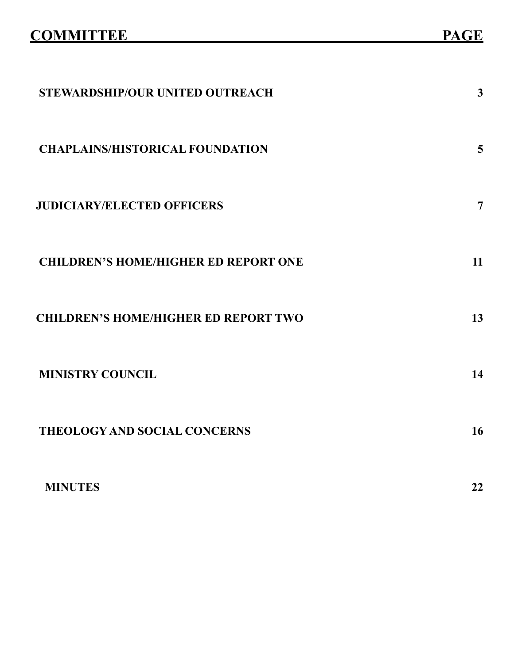| STEWARDSHIP/OUR UNITED OUTREACH             | $\mathbf{3}$ |
|---------------------------------------------|--------------|
| <b>CHAPLAINS/HISTORICAL FOUNDATION</b>      | 5            |
| <b>JUDICIARY/ELECTED OFFICERS</b>           | 7            |
| <b>CHILDREN'S HOME/HIGHER ED REPORT ONE</b> | 11           |
| <b>CHILDREN'S HOME/HIGHER ED REPORT TWO</b> | 13           |
| <b>MINISTRY COUNCIL</b>                     | 14           |
| <b>THEOLOGY AND SOCIAL CONCERNS</b>         | 16           |
| <b>MINUTES</b>                              | 22           |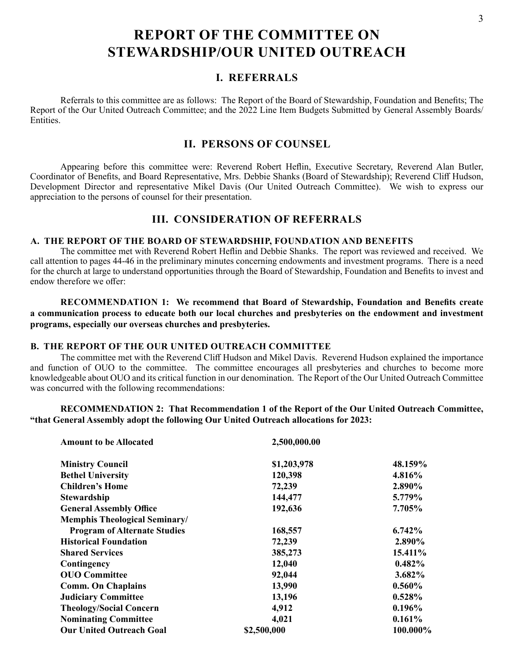# **REPORT OF THE COMMITTEE ON STEWARDSHIP/OUR UNITED OUTREACH**

# **I. REFERRALS**

Referrals to this committee are as follows: The Report of the Board of Stewardship, Foundation and Benefits; The Report of the Our United Outreach Committee; and the 2022 Line Item Budgets Submitted by General Assembly Boards/ Entities.

# **II. PERSONS OF COUNSEL**

Appearing before this committee were: Reverend Robert Heflin, Executive Secretary, Reverend Alan Butler, Coordinator of Benefits, and Board Representative, Mrs. Debbie Shanks (Board of Stewardship); Reverend Cliff Hudson, Development Director and representative Mikel Davis (Our United Outreach Committee). We wish to express our appreciation to the persons of counsel for their presentation.

# **III. CONSIDERATION OF REFERRALS**

# **A. THE REPORT OF THE BOARD OF STEWARDSHIP, FOUNDATION AND BENEFITS**

The committee met with Reverend Robert Heflin and Debbie Shanks. The report was reviewed and received. We call attention to pages 44-46 in the preliminary minutes concerning endowments and investment programs. There is a need for the church at large to understand opportunities through the Board of Stewardship, Foundation and Benefits to invest and endow therefore we offer:

**RECOMMENDATION 1: We recommend that Board of Stewardship, Foundation and Benefits create a communication process to educate both our local churches and presbyteries on the endowment and investment programs, especially our overseas churches and presbyteries.**

### **B. THE REPORT OF THE OUR UNITED OUTREACH COMMITTEE**

The committee met with the Reverend Cliff Hudson and Mikel Davis. Reverend Hudson explained the importance and function of OUO to the committee. The committee encourages all presbyteries and churches to become more knowledgeable about OUO and its critical function in our denomination. The Report of the Our United Outreach Committee was concurred with the following recommendations:

**RECOMMENDATION 2: That Recommendation 1 of the Report of the Our United Outreach Committee, "that General Assembly adopt the following Our United Outreach allocations for 2023:**

| <b>Amount to be Allocated</b>        | 2,500,000.00 |           |
|--------------------------------------|--------------|-----------|
| <b>Ministry Council</b>              | \$1,203,978  | 48.159%   |
| <b>Bethel University</b>             | 120,398      | 4.816%    |
| <b>Children's Home</b>               | 72,239       | 2.890%    |
| <b>Stewardship</b>                   | 144,477      | 5.779%    |
| <b>General Assembly Office</b>       | 192,636      | 7.705%    |
| <b>Memphis Theological Seminary/</b> |              |           |
| <b>Program of Alternate Studies</b>  | 168,557      | $6.742\%$ |
| <b>Historical Foundation</b>         | 72,239       | 2.890%    |
| <b>Shared Services</b>               | 385,273      | 15.411%   |
| Contingency                          | 12,040       | 0.482%    |
| <b>OUO</b> Committee                 | 92,044       | 3.682%    |
| <b>Comm. On Chaplains</b>            | 13,990       | $0.560\%$ |
| <b>Judiciary Committee</b>           | 13,196       | $0.528\%$ |
| <b>Theology/Social Concern</b>       | 4,912        | $0.196\%$ |
| <b>Nominating Committee</b>          | 4,021        | $0.161\%$ |
| <b>Our United Outreach Goal</b>      | \$2,500,000  | 100.000%  |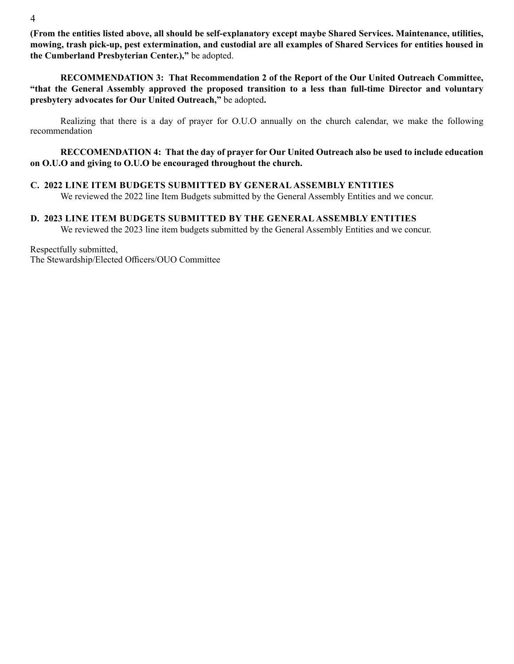**(From the entities listed above, all should be self-explanatory except maybe Shared Services. Maintenance, utilities, mowing, trash pick-up, pest extermination, and custodial are all examples of Shared Services for entities housed in the Cumberland Presbyterian Center.),"** be adopted.

**RECOMMENDATION 3: That Recommendation 2 of the Report of the Our United Outreach Committee, "that the General Assembly approved the proposed transition to a less than full-time Director and voluntary presbytery advocates for Our United Outreach,"** be adopted**.**

Realizing that there is a day of prayer for O.U.O annually on the church calendar, we make the following recommendation

**RECCOMENDATION 4: That the day of prayer for Our United Outreach also be used to include education on O.U.O and giving to O.U.O be encouraged throughout the church.** 

# **C. 2022 LINE ITEM BUDGETS SUBMITTED BY GENERAL ASSEMBLY ENTITIES**

We reviewed the 2022 line Item Budgets submitted by the General Assembly Entities and we concur.

### **D. 2023 LINE ITEM BUDGETS SUBMITTED BY THE GENERAL ASSEMBLY ENTITIES**

We reviewed the 2023 line item budgets submitted by the General Assembly Entities and we concur.

Respectfully submitted, The Stewardship/Elected Officers/OUO Committee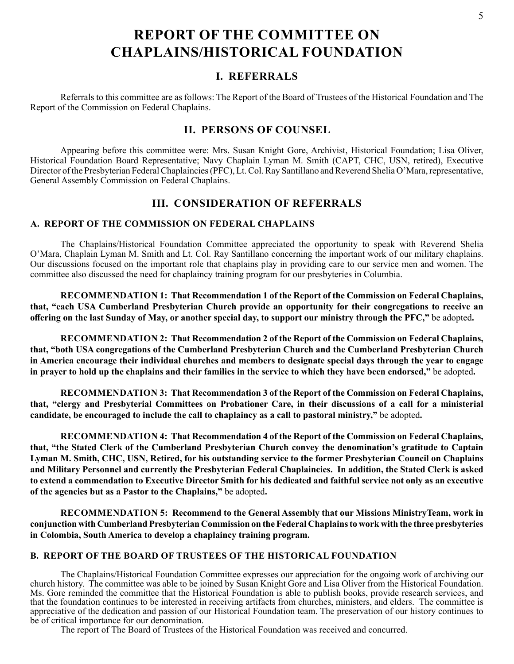# **REPORT OF THE COMMITTEE ON CHAPLAINS/HISTORICAL FOUNDATION**

# **I. REFERRALS**

Referrals to this committee are as follows: The Report of the Board of Trustees of the Historical Foundation and The Report of the Commission on Federal Chaplains.

# **II. PERSONS OF COUNSEL**

Appearing before this committee were: Mrs. Susan Knight Gore, Archivist, Historical Foundation; Lisa Oliver, Historical Foundation Board Representative; Navy Chaplain Lyman M. Smith (CAPT, CHC, USN, retired), Executive Director of the Presbyterian Federal Chaplaincies (PFC), Lt. Col. Ray Santillano and Reverend Shelia O'Mara, representative, General Assembly Commission on Federal Chaplains.

# **III. CONSIDERATION OF REFERRALS**

# **A. REPORT OF THE COMMISSION ON FEDERAL CHAPLAINS**

The Chaplains/Historical Foundation Committee appreciated the opportunity to speak with Reverend Shelia O'Mara, Chaplain Lyman M. Smith and Lt. Col. Ray Santillano concerning the important work of our military chaplains. Our discussions focused on the important role that chaplains play in providing care to our service men and women. The committee also discussed the need for chaplaincy training program for our presbyteries in Columbia.

**RECOMMENDATION 1: That Recommendation 1 of the Report of the Commission on Federal Chaplains, that, "each USA Cumberland Presbyterian Church provide an opportunity for their congregations to receive an offering on the last Sunday of May, or another special day, to support our ministry through the PFC,"** be adopted**.**

**RECOMMENDATION 2: That Recommendation 2 of the Report of the Commission on Federal Chaplains, that, "both USA congregations of the Cumberland Presbyterian Church and the Cumberland Presbyterian Church in America encourage their individual churches and members to designate special days through the year to engage in prayer to hold up the chaplains and their families in the service to which they have been endorsed,"** be adopted**.** 

**RECOMMENDATION 3: That Recommendation 3 of the Report of the Commission on Federal Chaplains, that, "clergy and Presbyterial Committees on Probationer Care, in their discussions of a call for a ministerial candidate, be encouraged to include the call to chaplaincy as a call to pastoral ministry,"** be adopted**.**

**RECOMMENDATION 4: That Recommendation 4 of the Report of the Commission on Federal Chaplains, that, "the Stated Clerk of the Cumberland Presbyterian Church convey the denomination's gratitude to Captain Lyman M. Smith, CHC, USN, Retired, for his outstanding service to the former Presbyterian Council on Chaplains and Military Personnel and currently the Presbyterian Federal Chaplaincies. In addition, the Stated Clerk is asked to extend a commendation to Executive Director Smith for his dedicated and faithful service not only as an executive of the agencies but as a Pastor to the Chaplains,"** be adopted**.** 

**RECOMMENDATION 5: Recommend to the General Assembly that our Missions MinistryTeam, work in conjunction with Cumberland Presbyterian Commission on the Federal Chaplains to work with the three presbyteries in Colombia, South America to develop a chaplaincy training program.**

# **B. REPORT OF THE BOARD OF TRUSTEES OF THE HISTORICAL FOUNDATION**

The Chaplains/Historical Foundation Committee expresses our appreciation for the ongoing work of archiving our church history. The committee was able to be joined by Susan Knight Gore and Lisa Oliver from the Historical Foundation. Ms. Gore reminded the committee that the Historical Foundation is able to publish books, provide research services, and that the foundation continues to be interested in receiving artifacts from churches, ministers, and elders. The committee is appreciative of the dedication and passion of our Historical Foundation team. The preservation of our history continues to be of critical importance for our denomination.

The report of The Board of Trustees of the Historical Foundation was received and concurred.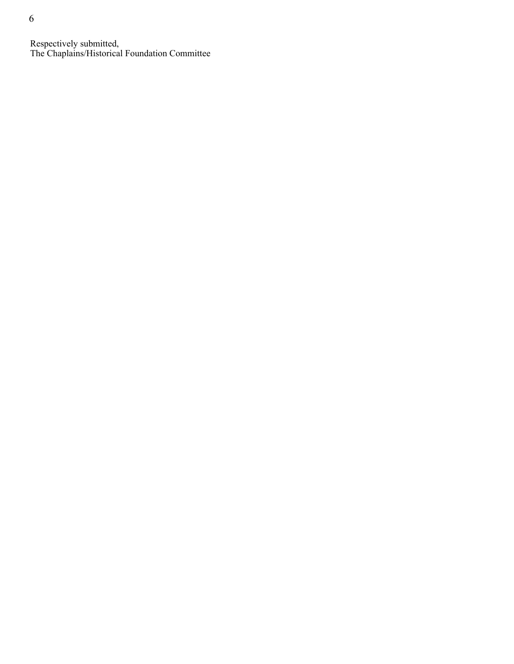Respectively submitted, The Chaplains/Historical Foundation Committee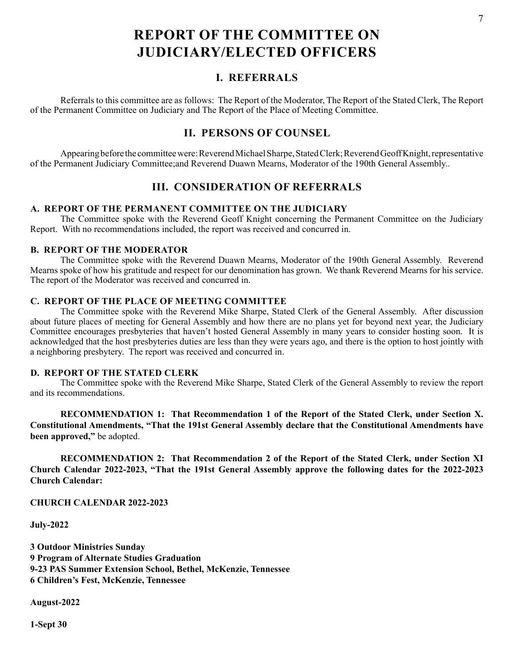# **REPORT OF THE COMMITTEE ON JUDICIARY/ELECTED OFFICERS**

# **I. REFERRALS**

Referrals to this committee are as follows: The Report of the Moderator, The Report of the Stated Clerk, The Report of the Permanent Committee on Judiciary and The Report of the Place of Meeting Committee.

# **II. PERSONS OF COUNSEL**

Appearing before the committee were: Reverend Michael Sharpe, Stated Clerk; Reverend Geoff Knight, representative of the Permanent Judiciary Committee;and Reverend Duawn Mearns, Moderator of the 190th General Assembly..

# **III. CONSIDERATION OF REFERRALS**

### **A. REPORT OF THE PERMANENT COMMITTEE ON THE JUDICIARY**

The Committee spoke with the Reverend Geoff Knight concerning the Permanent Committee on the Judiciary Report. With no recommendations included, the report was received and concurred in.

### **B. REPORT OF THE MODERATOR**

The Committee spoke with the Reverend Duawn Mearns, Moderator of the 190th General Assembly. Reverend Mearns spoke of how his gratitude and respect for our denomination has grown. We thank Reverend Mearns for his service. The report of the Moderator was received and concurred in.

# **C. REPORT OF THE PLACE OF MEETING COMMITTEE**

The Committee spoke with the Reverend Mike Sharpe, Stated Clerk of the General Assembly. After discussion about future places of meeting for General Assembly and how there are no plans yet for beyond next year, the Judiciary Committee encourages presbyteries that haven't hosted General Assembly in many years to consider hosting soon. It is acknowledged that the host presbyteries duties are less than they were years ago, and there is the option to host jointly with a neighboring presbytery. The report was received and concurred in.

### **D. REPORT OF THE STATED CLERK**

The Committee spoke with the Reverend Mike Sharpe, Stated Clerk of the General Assembly to review the report and its recommendations.

**RECOMMENDATION 1: That Recommendation 1 of the Report of the Stated Clerk, under Section X. Constitutional Amendments, "That the 191st General Assembly declare that the Constitutional Amendments have been approved,"** be adopted.

**RECOMMENDATION 2: That Recommendation 2 of the Report of the Stated Clerk, under Section XI Church Calendar 2022-2023, "That the 191st General Assembly approve the following dates for the 2022-2023 Church Calendar:**

**CHURCH CALENDAR 2022-2023** 

**July-2022** 

**3 Outdoor Ministries Sunday 9 Program of Alternate Studies Graduation 9-23 PAS Summer Extension School, Bethel, McKenzie, Tennessee 6 Children's Fest, McKenzie, Tennessee**

**August-2022**

**1-Sept 30**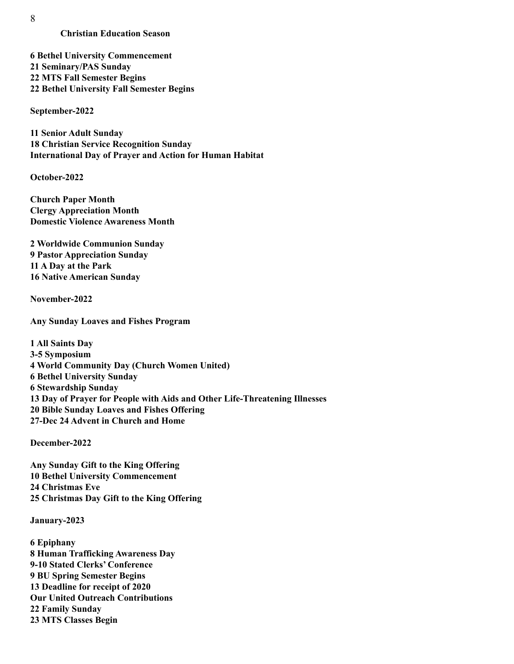8

### **Christian Education Season**

**6 Bethel University Commencement 21 Seminary/PAS Sunday 22 MTS Fall Semester Begins 22 Bethel University Fall Semester Begins** 

**September-2022** 

**11 Senior Adult Sunday 18 Christian Service Recognition Sunday International Day of Prayer and Action for Human Habitat** 

**October-2022**

**Church Paper Month Clergy Appreciation Month Domestic Violence Awareness Month** 

**2 Worldwide Communion Sunday 9 Pastor Appreciation Sunday 11 A Day at the Park 16 Native American Sunday** 

**November-2022** 

**Any Sunday Loaves and Fishes Program** 

**1 All Saints Day 3-5 Symposium 4 World Community Day (Church Women United) 6 Bethel University Sunday 6 Stewardship Sunday 13 Day of Prayer for People with Aids and Other Life-Threatening Illnesses 20 Bible Sunday Loaves and Fishes Offering 27-Dec 24 Advent in Church and Home** 

**December-2022** 

**Any Sunday Gift to the King Offering 10 Bethel University Commencement 24 Christmas Eve 25 Christmas Day Gift to the King Offering**

**January-2023** 

**6 Epiphany 8 Human Trafficking Awareness Day 9-10 Stated Clerks' Conference 9 BU Spring Semester Begins 13 Deadline for receipt of 2020 Our United Outreach Contributions 22 Family Sunday 23 MTS Classes Begin**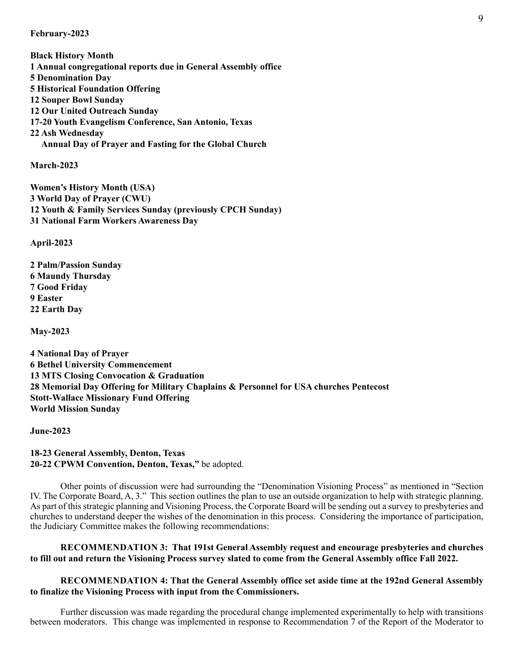#### **February-2023**

**Black History Month 1 Annual congregational reports due in General Assembly office 5 Denomination Day 5 Historical Foundation Offering 12 Souper Bowl Sunday 12 Our United Outreach Sunday 17-20 Youth Evangelism Conference, San Antonio, Texas 22 Ash Wednesday Annual Day of Prayer and Fasting for the Global Church**

**March-2023**

**Women's History Month (USA) 3 World Day of Prayer (CWU) 12 Youth & Family Services Sunday (previously CPCH Sunday) 31 National Farm Workers Awareness Day**

**April-2023** 

**2 Palm/Passion Sunday 6 Maundy Thursday 7 Good Friday 9 Easter 22 Earth Day** 

**May-2023** 

**4 National Day of Prayer 6 Bethel University Commencement 13 MTS Closing Convocation & Graduation 28 Memorial Day Offering for Military Chaplains & Personnel for USA churches Pentecost Stott-Wallace Missionary Fund Offering World Mission Sunday** 

**June-2023**

**18-23 General Assembly, Denton, Texas 20-22 CPWM Convention, Denton, Texas,"** be adopted.

Other points of discussion were had surrounding the "Denomination Visioning Process" as mentioned in "Section IV. The Corporate Board, A, 3." This section outlines the plan to use an outside organization to help with strategic planning. As part of this strategic planning and Visioning Process, the Corporate Board will be sending out a survey to presbyteries and churches to understand deeper the wishes of the denomination in this process. Considering the importance of participation, the Judiciary Committee makes the following recommendations:

### **RECOMMENDATION 3: That 191st General Assembly request and encourage presbyteries and churches to fill out and return the Visioning Process survey slated to come from the General Assembly office Fall 2022.**

# **RECOMMENDATION 4: That the General Assembly office set aside time at the 192nd General Assembly to finalize the Visioning Process with input from the Commissioners.**

Further discussion was made regarding the procedural change implemented experimentally to help with transitions between moderators. This change was implemented in response to Recommendation 7 of the Report of the Moderator to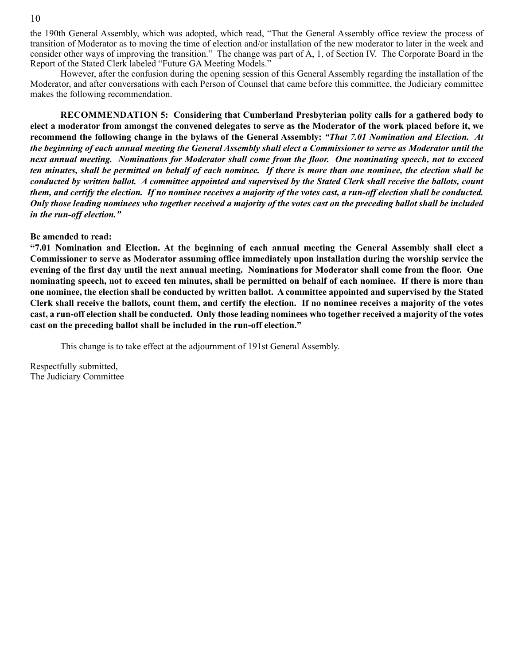the 190th General Assembly, which was adopted, which read, "That the General Assembly office review the process of transition of Moderator as to moving the time of election and/or installation of the new moderator to later in the week and consider other ways of improving the transition." The change was part of A, 1, of Section IV. The Corporate Board in the Report of the Stated Clerk labeled "Future GA Meeting Models."

However, after the confusion during the opening session of this General Assembly regarding the installation of the Moderator, and after conversations with each Person of Counsel that came before this committee, the Judiciary committee makes the following recommendation.

**RECOMMENDATION 5: Considering that Cumberland Presbyterian polity calls for a gathered body to elect a moderator from amongst the convened delegates to serve as the Moderator of the work placed before it, we recommend the following change in the bylaws of the General Assembly:** *"That 7.01 Nomination and Election. At the beginning of each annual meeting the General Assembly shall elect a Commissioner to serve as Moderator until the next annual meeting. Nominations for Moderator shall come from the floor. One nominating speech, not to exceed ten minutes, shall be permitted on behalf of each nominee. If there is more than one nominee, the election shall be conducted by written ballot. A committee appointed and supervised by the Stated Clerk shall receive the ballots, count them, and certify the election. If no nominee receives a majority of the votes cast, a run-off election shall be conducted. Only those leading nominees who together received a majority of the votes cast on the preceding ballot shall be included in the run-off election."*

#### **Be amended to read:**

**"7.01 Nomination and Election. At the beginning of each annual meeting the General Assembly shall elect a Commissioner to serve as Moderator assuming office immediately upon installation during the worship service the evening of the first day until the next annual meeting. Nominations for Moderator shall come from the floor. One nominating speech, not to exceed ten minutes, shall be permitted on behalf of each nominee. If there is more than one nominee, the election shall be conducted by written ballot. A committee appointed and supervised by the Stated Clerk shall receive the ballots, count them, and certify the election. If no nominee receives a majority of the votes cast, a run-off election shall be conducted. Only those leading nominees who together received a majority of the votes cast on the preceding ballot shall be included in the run-off election."**

This change is to take effect at the adjournment of 191st General Assembly.

Respectfully submitted, The Judiciary Committee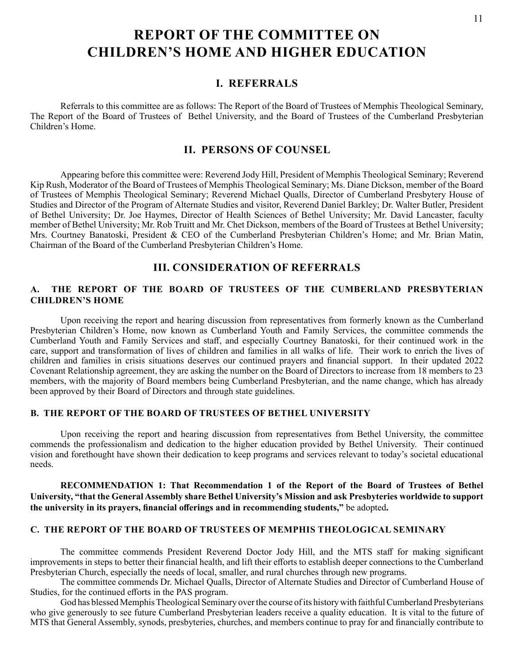# **REPORT OF THE COMMITTEE ON CHILDREN'S HOME AND HIGHER EDUCATION**

# **I. REFERRALS**

Referrals to this committee are as follows: The Report of the Board of Trustees of Memphis Theological Seminary, The Report of the Board of Trustees of Bethel University, and the Board of Trustees of the Cumberland Presbyterian Children's Home.

# **II. PERSONS OF COUNSEL**

Appearing before this committee were: Reverend Jody Hill, President of Memphis Theological Seminary; Reverend Kip Rush, Moderator of the Board of Trustees of Memphis Theological Seminary; Ms. Diane Dickson, member of the Board of Trustees of Memphis Theological Seminary; Reverend Michael Qualls, Director of Cumberland Presbytery House of Studies and Director of the Program of Alternate Studies and visitor, Reverend Daniel Barkley; Dr. Walter Butler, President of Bethel University; Dr. Joe Haymes, Director of Health Sciences of Bethel University; Mr. David Lancaster, faculty member of Bethel University; Mr. Rob Truitt and Mr. Chet Dickson, members of the Board of Trustees at Bethel University; Mrs. Courtney Banatoski, President & CEO of the Cumberland Presbyterian Children's Home; and Mr. Brian Matin, Chairman of the Board of the Cumberland Presbyterian Children's Home.

# **III. CONSIDERATION OF REFERRALS**

## **A. THE REPORT OF THE BOARD OF TRUSTEES OF THE CUMBERLAND PRESBYTERIAN CHILDREN'S HOME**

Upon receiving the report and hearing discussion from representatives from formerly known as the Cumberland Presbyterian Children's Home, now known as Cumberland Youth and Family Services, the committee commends the Cumberland Youth and Family Services and staff, and especially Courtney Banatoski, for their continued work in the care, support and transformation of lives of children and families in all walks of life. Their work to enrich the lives of children and families in crisis situations deserves our continued prayers and financial support. In their updated 2022 Covenant Relationship agreement, they are asking the number on the Board of Directors to increase from 18 members to 23 members, with the majority of Board members being Cumberland Presbyterian, and the name change, which has already been approved by their Board of Directors and through state guidelines.

## **B. THE REPORT OF THE BOARD OF TRUSTEES OF BETHEL UNIVERSITY**

Upon receiving the report and hearing discussion from representatives from Bethel University, the committee commends the professionalism and dedication to the higher education provided by Bethel University. Their continued vision and forethought have shown their dedication to keep programs and services relevant to today's societal educational needs.

### **RECOMMENDATION 1: That Recommendation 1 of the Report of the Board of Trustees of Bethel University, "that the General Assembly share Bethel University's Mission and ask Presbyteries worldwide to support the university in its prayers, financial offerings and in recommending students,"** be adopted**.**

## **C. THE REPORT OF THE BOARD OF TRUSTEES OF MEMPHIS THEOLOGICAL SEMINARY**

The committee commends President Reverend Doctor Jody Hill, and the MTS staff for making significant improvements in steps to better their financial health, and lift their efforts to establish deeper connections to the Cumberland Presbyterian Church, especially the needs of local, smaller, and rural churches through new programs.

The committee commends Dr. Michael Qualls, Director of Alternate Studies and Director of Cumberland House of Studies, for the continued efforts in the PAS program.

God has blessed Memphis Theological Seminary over the course of its history with faithful Cumberland Presbyterians who give generously to see future Cumberland Presbyterian leaders receive a quality education. It is vital to the future of MTS that General Assembly, synods, presbyteries, churches, and members continue to pray for and financially contribute to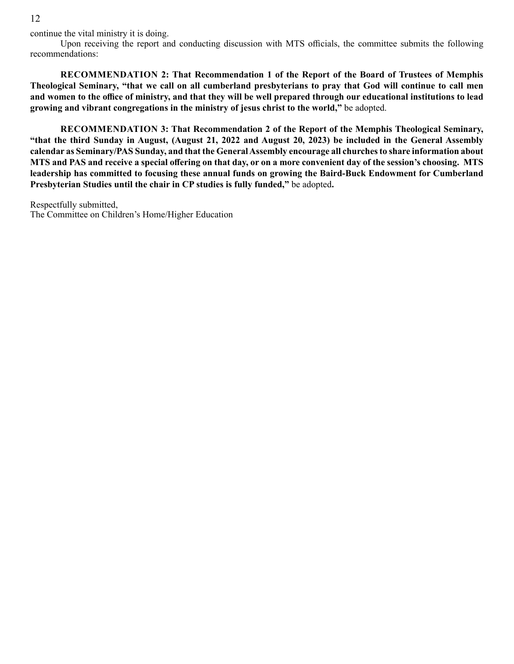12

continue the vital ministry it is doing.

Upon receiving the report and conducting discussion with MTS officials, the committee submits the following recommendations:

**RECOMMENDATION 2: That Recommendation 1 of the Report of the Board of Trustees of Memphis Theological Seminary, "that we call on all cumberland presbyterians to pray that God will continue to call men and women to the office of ministry, and that they will be well prepared through our educational institutions to lead growing and vibrant congregations in the ministry of jesus christ to the world,"** be adopted.

**RECOMMENDATION 3: That Recommendation 2 of the Report of the Memphis Theological Seminary, "that the third Sunday in August, (August 21, 2022 and August 20, 2023) be included in the General Assembly calendar as Seminary/PAS Sunday, and that the General Assembly encourage all churches to share information about MTS and PAS and receive a special offering on that day, or on a more convenient day of the session's choosing. MTS leadership has committed to focusing these annual funds on growing the Baird-Buck Endowment for Cumberland Presbyterian Studies until the chair in CP studies is fully funded,"** be adopted**.** 

Respectfully submitted, The Committee on Children's Home/Higher Education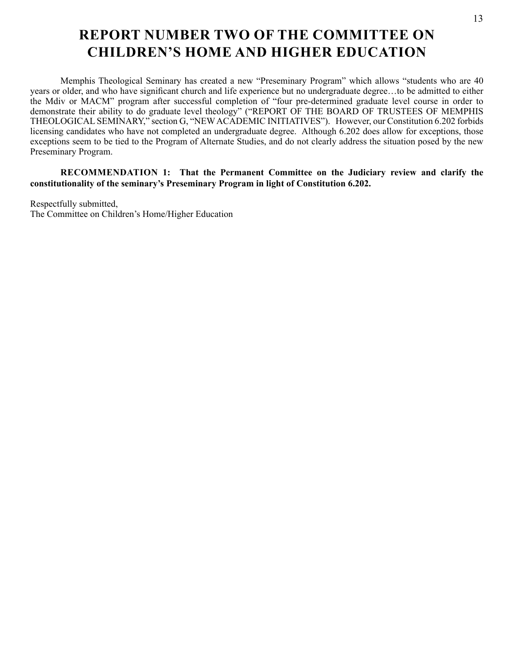# **REPORT NUMBER TWO OF THE COMMITTEE ON CHILDREN'S HOME AND HIGHER EDUCATION**

Memphis Theological Seminary has created a new "Preseminary Program" which allows "students who are 40 years or older, and who have significant church and life experience but no undergraduate degree…to be admitted to either the Mdiv or MACM" program after successful completion of "four pre-determined graduate level course in order to demonstrate their ability to do graduate level theology" ("REPORT OF THE BOARD OF TRUSTEES OF MEMPHIS THEOLOGICAL SEMINARY," section G, "NEW ACADEMIC INITIATIVES"). However, our Constitution 6.202 forbids licensing candidates who have not completed an undergraduate degree. Although 6.202 does allow for exceptions, those exceptions seem to be tied to the Program of Alternate Studies, and do not clearly address the situation posed by the new Preseminary Program.

**RECOMMENDATION 1: That the Permanent Committee on the Judiciary review and clarify the constitutionality of the seminary's Preseminary Program in light of Constitution 6.202.**

Respectfully submitted, The Committee on Children's Home/Higher Education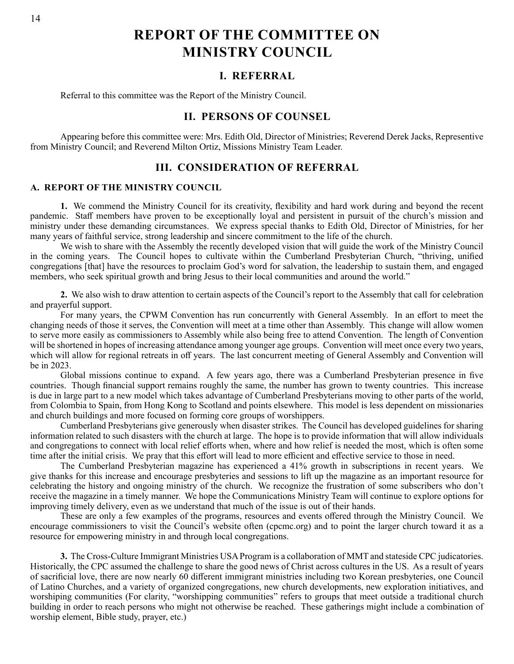**REPORT OF THE COMMITTEE ON MINISTRY COUNCIL**

# **I. REFERRAL**

Referral to this committee was the Report of the Ministry Council.

# **II. PERSONS OF COUNSEL**

Appearing before this committee were: Mrs. Edith Old, Director of Ministries; Reverend Derek Jacks, Representive from Ministry Council; and Reverend Milton Ortiz, Missions Ministry Team Leader.

# **III. CONSIDERATION OF REFERRAL**

### **A. REPORT OF THE MINISTRY COUNCIL**

**1.** We commend the Ministry Council for its creativity, flexibility and hard work during and beyond the recent pandemic. Staff members have proven to be exceptionally loyal and persistent in pursuit of the church's mission and ministry under these demanding circumstances. We express special thanks to Edith Old, Director of Ministries, for her many years of faithful service, strong leadership and sincere commitment to the life of the church.

We wish to share with the Assembly the recently developed vision that will guide the work of the Ministry Council in the coming years. The Council hopes to cultivate within the Cumberland Presbyterian Church, "thriving, unified congregations [that] have the resources to proclaim God's word for salvation, the leadership to sustain them, and engaged members, who seek spiritual growth and bring Jesus to their local communities and around the world."

**2.** We also wish to draw attention to certain aspects of the Council's report to the Assembly that call for celebration and prayerful support.

For many years, the CPWM Convention has run concurrently with General Assembly. In an effort to meet the changing needs of those it serves, the Convention will meet at a time other than Assembly. This change will allow women to serve more easily as commissioners to Assembly while also being free to attend Convention. The length of Convention will be shortened in hopes of increasing attendance among younger age groups. Convention will meet once every two years, which will allow for regional retreats in off years. The last concurrent meeting of General Assembly and Convention will be in 2023.

Global missions continue to expand. A few years ago, there was a Cumberland Presbyterian presence in five countries. Though financial support remains roughly the same, the number has grown to twenty countries. This increase is due in large part to a new model which takes advantage of Cumberland Presbyterians moving to other parts of the world, from Colombia to Spain, from Hong Kong to Scotland and points elsewhere. This model is less dependent on missionaries and church buildings and more focused on forming core groups of worshippers.

Cumberland Presbyterians give generously when disaster strikes. The Council has developed guidelines for sharing information related to such disasters with the church at large. The hope is to provide information that will allow individuals and congregations to connect with local relief efforts when, where and how relief is needed the most, which is often some time after the initial crisis. We pray that this effort will lead to more efficient and effective service to those in need.

The Cumberland Presbyterian magazine has experienced a 41% growth in subscriptions in recent years. We give thanks for this increase and encourage presbyteries and sessions to lift up the magazine as an important resource for celebrating the history and ongoing ministry of the church. We recognize the frustration of some subscribers who don't receive the magazine in a timely manner. We hope the Communications Ministry Team will continue to explore options for improving timely delivery, even as we understand that much of the issue is out of their hands.

These are only a few examples of the programs, resources and events offered through the Ministry Council. We encourage commissioners to visit the Council's website often (cpcmc.org) and to point the larger church toward it as a resource for empowering ministry in and through local congregations.

**3.** The Cross-Culture Immigrant Ministries USA Program is a collaboration of MMT and stateside CPC judicatories. Historically, the CPC assumed the challenge to share the good news of Christ across cultures in the US. As a result of years of sacrificial love, there are now nearly 60 different immigrant ministries including two Korean presbyteries, one Council of Latino Churches, and a variety of organized congregations, new church developments, new exploration initiatives, and worshiping communities (For clarity, "worshipping communities" refers to groups that meet outside a traditional church building in order to reach persons who might not otherwise be reached. These gatherings might include a combination of worship element, Bible study, prayer, etc.)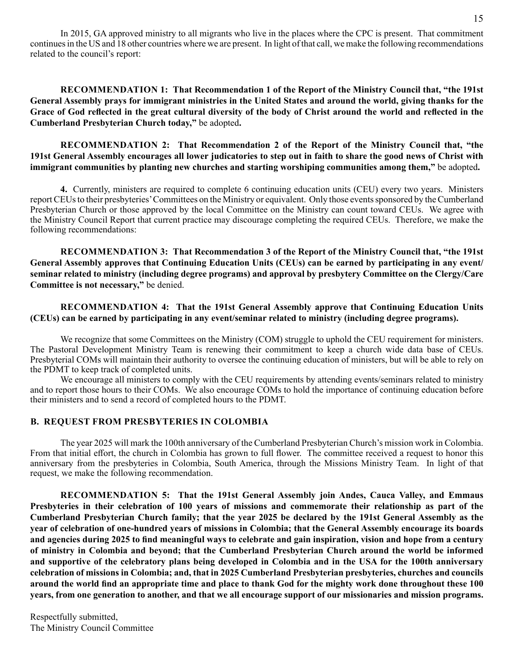In 2015, GA approved ministry to all migrants who live in the places where the CPC is present. That commitment continues in the US and 18 other countries where we are present. In light of that call, we make the following recommendations related to the council's report:

**RECOMMENDATION 1: That Recommendation 1 of the Report of the Ministry Council that, "the 191st General Assembly prays for immigrant ministries in the United States and around the world, giving thanks for the Grace of God reflected in the great cultural diversity of the body of Christ around the world and reflected in the Cumberland Presbyterian Church today,"** be adopted**.**

**RECOMMENDATION 2: That Recommendation 2 of the Report of the Ministry Council that, "the 191st General Assembly encourages all lower judicatories to step out in faith to share the good news of Christ with immigrant communities by planting new churches and starting worshiping communities among them,"** be adopted**.**

**4.** Currently, ministers are required to complete 6 continuing education units (CEU) every two years. Ministers report CEUs to their presbyteries' Committees on the Ministry or equivalent. Only those events sponsored by the Cumberland Presbyterian Church or those approved by the local Committee on the Ministry can count toward CEUs. We agree with the Ministry Council Report that current practice may discourage completing the required CEUs. Therefore, we make the following recommendations:

**RECOMMENDATION 3: That Recommendation 3 of the Report of the Ministry Council that, "the 191st General Assembly approves that Continuing Education Units (CEUs) can be earned by participating in any event/ seminar related to ministry (including degree programs) and approval by presbytery Committee on the Clergy/Care Committee is not necessary,"** be denied.

**RECOMMENDATION 4: That the 191st General Assembly approve that Continuing Education Units (CEUs) can be earned by participating in any event/seminar related to ministry (including degree programs).**

We recognize that some Committees on the Ministry (COM) struggle to uphold the CEU requirement for ministers. The Pastoral Development Ministry Team is renewing their commitment to keep a church wide data base of CEUs. Presbyterial COMs will maintain their authority to oversee the continuing education of ministers, but will be able to rely on the PDMT to keep track of completed units.

We encourage all ministers to comply with the CEU requirements by attending events/seminars related to ministry and to report those hours to their COMs. We also encourage COMs to hold the importance of continuing education before their ministers and to send a record of completed hours to the PDMT.

## **B. REQUEST FROM PRESBYTERIES IN COLOMBIA**

The year 2025 will mark the 100th anniversary of the Cumberland Presbyterian Church's mission work in Colombia. From that initial effort, the church in Colombia has grown to full flower. The committee received a request to honor this anniversary from the presbyteries in Colombia, South America, through the Missions Ministry Team. In light of that request, we make the following recommendation.

**RECOMMENDATION 5: That the 191st General Assembly join Andes, Cauca Valley, and Emmaus Presbyteries in their celebration of 100 years of missions and commemorate their relationship as part of the Cumberland Presbyterian Church family; that the year 2025 be declared by the 191st General Assembly as the year of celebration of one-hundred years of missions in Colombia; that the General Assembly encourage its boards and agencies during 2025 to find meaningful ways to celebrate and gain inspiration, vision and hope from a century of ministry in Colombia and beyond; that the Cumberland Presbyterian Church around the world be informed and supportive of the celebratory plans being developed in Colombia and in the USA for the 100th anniversary celebration of missions in Colombia; and, that in 2025 Cumberland Presbyterian presbyteries, churches and councils around the world find an appropriate time and place to thank God for the mighty work done throughout these 100 years, from one generation to another, and that we all encourage support of our missionaries and mission programs.**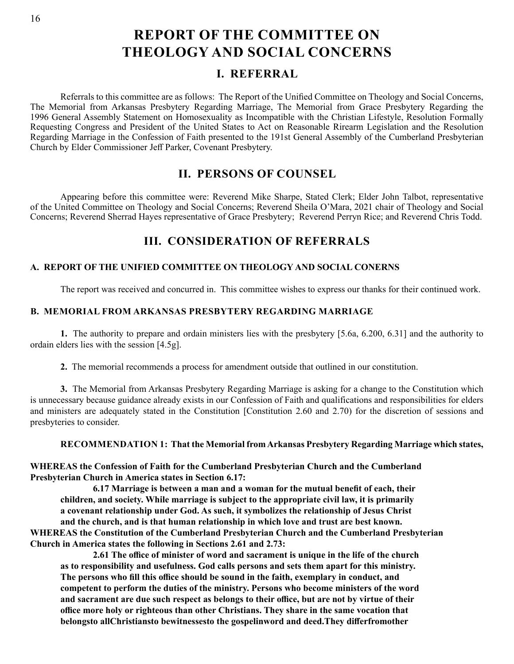# **REPORT OF THE COMMITTEE ON THEOLOGY AND SOCIAL CONCERNS**

# **I. REFERRAL**

Referrals to this committee are as follows: The Report of the Unified Committee on Theology and Social Concerns, The Memorial from Arkansas Presbytery Regarding Marriage, The Memorial from Grace Presbytery Regarding the 1996 General Assembly Statement on Homosexuality as Incompatible with the Christian Lifestyle, Resolution Formally Requesting Congress and President of the United States to Act on Reasonable Rirearm Legislation and the Resolution Regarding Marriage in the Confession of Faith presented to the 191st General Assembly of the Cumberland Presbyterian Church by Elder Commissioner Jeff Parker, Covenant Presbytery.

# **II. PERSONS OF COUNSEL**

Appearing before this committee were: Reverend Mike Sharpe, Stated Clerk; Elder John Talbot, representative of the United Committee on Theology and Social Concerns; Reverend Sheila O'Mara, 2021 chair of Theology and Social Concerns; Reverend Sherrad Hayes representative of Grace Presbytery; Reverend Perryn Rice; and Reverend Chris Todd.

# **III. CONSIDERATION OF REFERRALS**

# **A. REPORT OF THE UNIFIED COMMITTEE ON THEOLOGY AND SOCIAL CONERNS**

The report was received and concurred in. This committee wishes to express our thanks for their continued work.

# **B. MEMORIAL FROM ARKANSAS PRESBYTERY REGARDING MARRIAGE**

**1.** The authority to prepare and ordain ministers lies with the presbytery [5.6a, 6.200, 6.31] and the authority to ordain elders lies with the session [4.5g].

**2.** The memorial recommends a process for amendment outside that outlined in our constitution.

**3.** The Memorial from Arkansas Presbytery Regarding Marriage is asking for a change to the Constitution which is unnecessary because guidance already exists in our Confession of Faith and qualifications and responsibilities for elders and ministers are adequately stated in the Constitution [Constitution 2.60 and 2.70) for the discretion of sessions and presbyteries to consider.

**RECOMMENDATION 1: That the Memorial from Arkansas Presbytery Regarding Marriage which states,**

**WHEREAS the Confession of Faith for the Cumberland Presbyterian Church and the Cumberland Presbyterian Church in America states in Section 6.17:**

 **6.17 Marriage is between a man and a woman for the mutual benefit of each, their children, and society. While marriage is subject to the appropriate civil law, it is primarily a covenant relationship under God. As such, it symbolizes the relationship of Jesus Christ and the church, and is that human relationship in which love and trust are best known. WHEREAS the Constitution of the Cumberland Presbyterian Church and the Cumberland Presbyterian Church in America states the following in Sections 2.61 and 2.73:**

 **2.61 The office of minister of word and sacrament is unique in the life of the church as to responsibility and usefulness. God calls persons and sets them apart for this ministry. The persons who fill this office should be sound in the faith, exemplary in conduct, and competent to perform the duties of the ministry. Persons who become ministers of the word and sacrament are due such respect as belongs to their office, but are not by virtue of their office more holy or righteous than other Christians. They share in the same vocation that belongsto allChristiansto bewitnessesto the gospelinword and deed.They differfromother**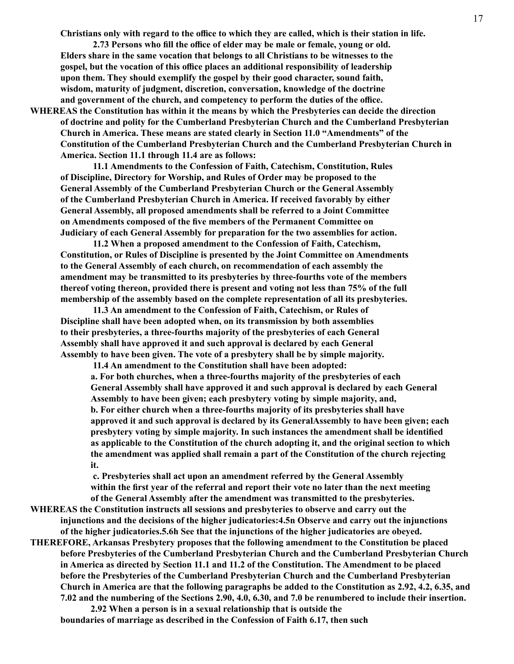**Christians only with regard to the office to which they are called, which is their station in life.**

 **2.73 Persons who fill the office of elder may be male or female, young or old. Elders share in the same vocation that belongs to all Christians to be witnesses to the gospel, but the vocation of this office places an additional responsibility of leadership upon them. They should exemplify the gospel by their good character, sound faith, wisdom, maturity of judgment, discretion, conversation, knowledge of the doctrine and government of the church, and competency to perform the duties of the office.**

**WHEREAS the Constitution has within it the means by which the Presbyteries can decide the direction of doctrine and polity for the Cumberland Presbyterian Church and the Cumberland Presbyterian Church in America. These means are stated clearly in Section 11.0 "Amendments" of the Constitution of the Cumberland Presbyterian Church and the Cumberland Presbyterian Church in America. Section 11.1 through 11.4 are as follows:**

 **11.1 Amendments to the Confession of Faith, Catechism, Constitution, Rules of Discipline, Directory for Worship, and Rules of Order may be proposed to the General Assembly of the Cumberland Presbyterian Church or the General Assembly of the Cumberland Presbyterian Church in America. If received favorably by either General Assembly, all proposed amendments shall be referred to a Joint Committee on Amendments composed of the five members of the Permanent Committee on Judiciary of each General Assembly for preparation for the two assemblies for action.**

 **11.2 When a proposed amendment to the Confession of Faith, Catechism, Constitution, or Rules of Discipline is presented by the Joint Committee on Amendments to the General Assembly of each church, on recommendation of each assembly the amendment may be transmitted to its presbyteries by three-fourths vote of the members thereof voting thereon, provided there is present and voting not less than 75% of the full membership of the assembly based on the complete representation of all its presbyteries.**

 **11.3 An amendment to the Confession of Faith, Catechism, or Rules of Discipline shall have been adopted when, on its transmission by both assemblies to their presbyteries, a three-fourths majority of the presbyteries of each General Assembly shall have approved it and such approval is declared by each General Assembly to have been given. The vote of a presbytery shall be by simple majority.**

 **11.4 An amendment to the Constitution shall have been adopted: a. For both churches, when a three-fourths majority of the presbyteries of each General Assembly shall have approved it and such approval is declared by each General Assembly to have been given; each presbytery voting by simple majority, and, b. For either church when a three-fourths majority of its presbyteries shall have approved it and such approval is declared by its GeneralAssembly to have been given; each presbytery voting by simple majority. In such instances the amendment shall be identified as applicable to the Constitution of the church adopting it, and the original section to which the amendment was applied shall remain a part of the Constitution of the church rejecting it.**

 **c. Presbyteries shall act upon an amendment referred by the General Assembly within the first year of the referral and report their vote no later than the next meeting of the General Assembly after the amendment was transmitted to the presbyteries.**

**WHEREAS the Constitution instructs all sessions and presbyteries to observe and carry out the injunctions and the decisions of the higher judicatories:4.5n Observe and carry out the injunctions of the higher judicatories.5.6h See that the injunctions of the higher judicatories are obeyed.**

**THEREFORE, Arkansas Presbytery proposes that the following amendment to the Constitution be placed before Presbyteries of the Cumberland Presbyterian Church and the Cumberland Presbyterian Church in America as directed by Section 11.1 and 11.2 of the Constitution. The Amendment to be placed before the Presbyteries of the Cumberland Presbyterian Church and the Cumberland Presbyterian Church in America are that the following paragraphs be added to the Constitution as 2.92, 4.2, 6.35, and 7.02 and the numbering of the Sections 2.90, 4.0, 6.30, and 7.0 be renumbered to include their insertion.**

 **2.92 When a person is in a sexual relationship that is outside the boundaries of marriage as described in the Confession of Faith 6.17, then such**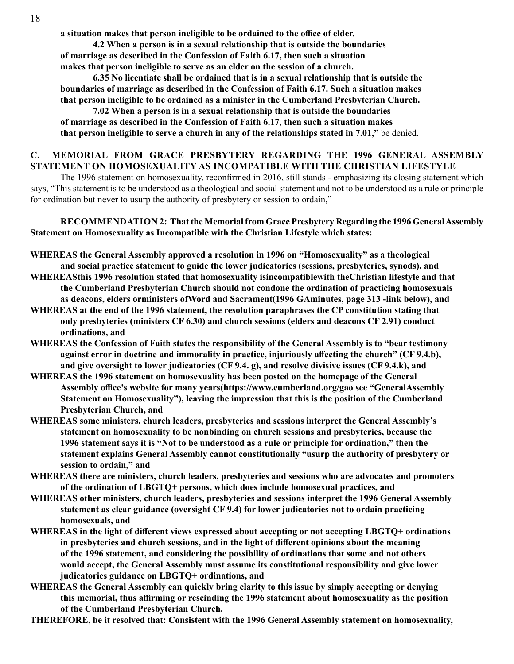**a situation makes that person ineligible to be ordained to the office of elder.**

 **4.2 When a person is in a sexual relationship that is outside the boundaries of marriage as described in the Confession of Faith 6.17, then such a situation makes that person ineligible to serve as an elder on the session of a church.**

 **6.35 No licentiate shall be ordained that is in a sexual relationship that is outside the boundaries of marriage as described in the Confession of Faith 6.17. Such a situation makes that person ineligible to be ordained as a minister in the Cumberland Presbyterian Church.**

 **7.02 When a person is in a sexual relationship that is outside the boundaries of marriage as described in the Confession of Faith 6.17, then such a situation makes that person ineligible to serve a church in any of the relationships stated in 7.01,"** be denied.

# **C. MEMORIAL FROM GRACE PRESBYTERY REGARDING THE 1996 GENERAL ASSEMBLY STATEMENT ON HOMOSEXUALITY AS INCOMPATIBLE WITH THE CHRISTIAN LIFESTYLE**

The 1996 statement on homosexuality, reconfirmed in 2016, still stands - emphasizing its closing statement which says, "This statement is to be understood as a theological and social statement and not to be understood as a rule or principle for ordination but never to usurp the authority of presbytery or session to ordain,"

**RECOMMENDATION 2: That the Memorial from Grace Presbytery Regarding the 1996 General Assembly Statement on Homosexuality as Incompatible with the Christian Lifestyle which states:**

- **WHEREAS the General Assembly approved a resolution in 1996 on "Homosexuality" as a theological and social practice statement to guide the lower judicatories (sessions, presbyteries, synods), and**
- **WHEREASthis 1996 resolution stated that homosexuality isincompatiblewith theChristian lifestyle and that the Cumberland Presbyterian Church should not condone the ordination of practicing homosexuals as deacons, elders orministers ofWord and Sacrament(1996 GAminutes, page 313 -link below), and**
- **WHEREAS at the end of the 1996 statement, the resolution paraphrases the CP constitution stating that only presbyteries (ministers CF 6.30) and church sessions (elders and deacons CF 2.91) conduct ordinations, and**
- **WHEREAS the Confession of Faith states the responsibility of the General Assembly is to "bear testimony against error in doctrine and immorality in practice, injuriously affecting the church" (CF 9.4.b), and give oversight to lower judicatories (CF 9.4. g), and resolve divisive issues (CF 9.4.k), and**
- **WHEREAS the 1996 statement on homosexuality has been posted on the homepage of the General Assembly office's website for many years(https://www.cumberland.org/gao see "GeneralAssembly Statement on Homosexuality"), leaving the impression that this is the position of the Cumberland Presbyterian Church, and**
- **WHEREAS some ministers, church leaders, presbyteries and sessions interpret the General Assembly's statement on homosexuality to be nonbinding on church sessions and presbyteries, because the 1996 statement says it is "Not to be understood as a rule or principle for ordination," then the statement explains General Assembly cannot constitutionally "usurp the authority of presbytery or session to ordain," and**
- **WHEREAS there are ministers, church leaders, presbyteries and sessions who are advocates and promoters of the ordination of LBGTQ+ persons, which does include homosexual practices, and**
- **WHEREAS other ministers, church leaders, presbyteries and sessions interpret the 1996 General Assembly statement as clear guidance (oversight CF 9.4) for lower judicatories not to ordain practicing homosexuals, and**
- **WHEREAS in the light of different views expressed about accepting or not accepting LBGTQ+ ordinations in presbyteries and church sessions, and in the light of different opinions about the meaning of the 1996 statement, and considering the possibility of ordinations that some and not others would accept, the General Assembly must assume its constitutional responsibility and give lower judicatories guidance on LBGTQ+ ordinations, and**
- **WHEREAS the General Assembly can quickly bring clarity to this issue by simply accepting or denying this memorial, thus affirming or rescinding the 1996 statement about homosexuality as the position of the Cumberland Presbyterian Church.**

**THEREFORE, be it resolved that: Consistent with the 1996 General Assembly statement on homosexuality,**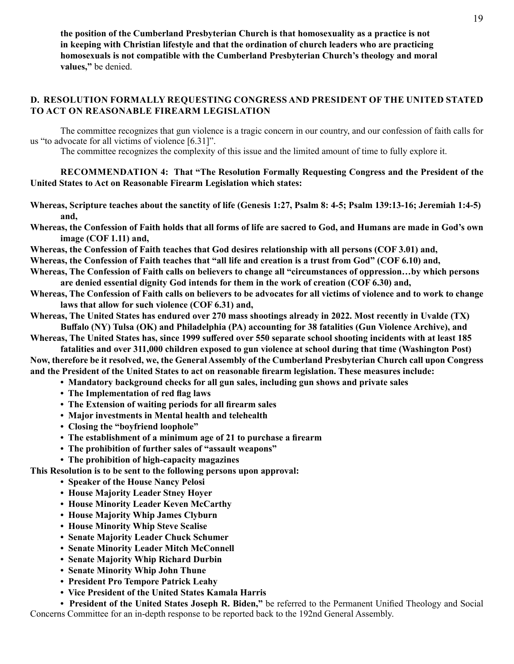**the position of the Cumberland Presbyterian Church is that homosexuality as a practice is not in keeping with Christian lifestyle and that the ordination of church leaders who are practicing homosexuals is not compatible with the Cumberland Presbyterian Church's theology and moral values,"** be denied.

# **D. RESOLUTION FORMALLY REQUESTING CONGRESS AND PRESIDENT OF THE UNITED STATED TO ACT ON REASONABLE FIREARM LEGISLATION**

The committee recognizes that gun violence is a tragic concern in our country, and our confession of faith calls for us "to advocate for all victims of violence [6.31]".

The committee recognizes the complexity of this issue and the limited amount of time to fully explore it.

## **RECOMMENDATION 4: That "The Resolution Formally Requesting Congress and the President of the United States to Act on Reasonable Firearm Legislation which states:**

- **Whereas, Scripture teaches about the sanctity of life (Genesis 1:27, Psalm 8: 4-5; Psalm 139:13-16; Jeremiah 1:4-5) and,**
- **Whereas, the Confession of Faith holds that all forms of life are sacred to God, and Humans are made in God's own image (COF 1.11) and,**
- **Whereas, the Confession of Faith teaches that God desires relationship with all persons (COF 3.01) and,**
- **Whereas, the Confession of Faith teaches that "all life and creation is a trust from God" (COF 6.10) and,**
- **Whereas, The Confession of Faith calls on believers to change all "circumstances of oppression…by which persons are denied essential dignity God intends for them in the work of creation (COF 6.30) and,**
- **Whereas, The Confession of Faith calls on believers to be advocates for all victims of violence and to work to change laws that allow for such violence (COF 6.31) and,**
- **Whereas, The United States has endured over 270 mass shootings already in 2022. Most recently in Uvalde (TX) Buffalo (NY) Tulsa (OK) and Philadelphia (PA) accounting for 38 fatalities (Gun Violence Archive), and**

**Whereas, The United States has, since 1999 suffered over 550 separate school shooting incidents with at least 185 fatalities and over 311,000 children exposed to gun violence at school during that time (Washington Post)**

**Now, therefore be it resolved, we, the General Assembly of the Cumberland Presbyterian Church call upon Congress and the President of the United States to act on reasonable firearm legislation. These measures include:**

- **Mandatory background checks for all gun sales, including gun shows and private sales**
- **The Implementation of red flag laws**
- **The Extension of waiting periods for all firearm sales**
- **Major investments in Mental health and telehealth**
- **Closing the "boyfriend loophole"**
- **The establishment of a minimum age of 21 to purchase a firearm**
- **The prohibition of further sales of "assault weapons"**
- **The prohibition of high-capacity magazines**

**This Resolution is to be sent to the following persons upon approval:**

- **Speaker of the House Nancy Pelosi**
- **House Majority Leader Stney Hoyer**
- **House Minority Leader Keven McCarthy**
- **House Majority Whip James Clyburn**
- **House Minority Whip Steve Scalise**
- **Senate Majority Leader Chuck Schumer**
- **Senate Minority Leader Mitch McConnell**
- **Senate Majority Whip Richard Durbin**
- **Senate Minority Whip John Thune**
- **President Pro Tempore Patrick Leahy**
- **Vice President of the United States Kamala Harris**

**• President of the United States Joseph R. Biden,"** be referred to the Permanent Unified Theology and Social Concerns Committee for an in-depth response to be reported back to the 192nd General Assembly.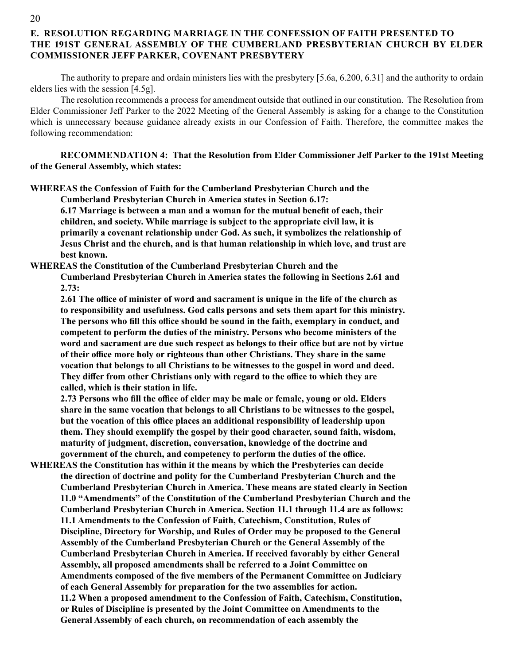# **E. RESOLUTION REGARDING MARRIAGE IN THE CONFESSION OF FAITH PRESENTED TO THE 191ST GENERAL ASSEMBLY OF THE CUMBERLAND PRESBYTERIAN CHURCH BY ELDER COMMISSIONER JEFF PARKER, COVENANT PRESBYTERY**

The authority to prepare and ordain ministers lies with the presbytery [5.6a, 6.200, 6.31] and the authority to ordain elders lies with the session [4.5g].

The resolution recommends a process for amendment outside that outlined in our constitution. The Resolution from Elder Commissioner Jeff Parker to the 2022 Meeting of the General Assembly is asking for a change to the Constitution which is unnecessary because guidance already exists in our Confession of Faith. Therefore, the committee makes the following recommendation:

**RECOMMENDATION 4: That the Resolution from Elder Commissioner Jeff Parker to the 191st Meeting of the General Assembly, which states:**

**WHEREAS the Confession of Faith for the Cumberland Presbyterian Church and the**

**Cumberland Presbyterian Church in America states in Section 6.17:**

**6.17 Marriage is between a man and a woman for the mutual benefit of each, their children, and society. While marriage is subject to the appropriate civil law, it is primarily a covenant relationship under God. As such, it symbolizes the relationship of Jesus Christ and the church, and is that human relationship in which love, and trust are best known.**

**WHEREAS the Constitution of the Cumberland Presbyterian Church and the**

**Cumberland Presbyterian Church in America states the following in Sections 2.61 and 2.73:**

**2.61 The office of minister of word and sacrament is unique in the life of the church as to responsibility and usefulness. God calls persons and sets them apart for this ministry. The persons who fill this office should be sound in the faith, exemplary in conduct, and competent to perform the duties of the ministry. Persons who become ministers of the word and sacrament are due such respect as belongs to their office but are not by virtue of their office more holy or righteous than other Christians. They share in the same vocation that belongs to all Christians to be witnesses to the gospel in word and deed. They differ from other Christians only with regard to the office to which they are called, which is their station in life.**

**2.73 Persons who fill the office of elder may be male or female, young or old. Elders share in the same vocation that belongs to all Christians to be witnesses to the gospel, but the vocation of this office places an additional responsibility of leadership upon them. They should exemplify the gospel by their good character, sound faith, wisdom, maturity of judgment, discretion, conversation, knowledge of the doctrine and government of the church, and competency to perform the duties of the office.**

**WHEREAS the Constitution has within it the means by which the Presbyteries can decide the direction of doctrine and polity for the Cumberland Presbyterian Church and the Cumberland Presbyterian Church in America. These means are stated clearly in Section 11.0 "Amendments" of the Constitution of the Cumberland Presbyterian Church and the Cumberland Presbyterian Church in America. Section 11.1 through 11.4 are as follows: 11.1 Amendments to the Confession of Faith, Catechism, Constitution, Rules of Discipline, Directory for Worship, and Rules of Order may be proposed to the General Assembly of the Cumberland Presbyterian Church or the General Assembly of the Cumberland Presbyterian Church in America. If received favorably by either General Assembly, all proposed amendments shall be referred to a Joint Committee on Amendments composed of the five members of the Permanent Committee on Judiciary of each General Assembly for preparation for the two assemblies for action. 11.2 When a proposed amendment to the Confession of Faith, Catechism, Constitution, or Rules of Discipline is presented by the Joint Committee on Amendments to the General Assembly of each church, on recommendation of each assembly the**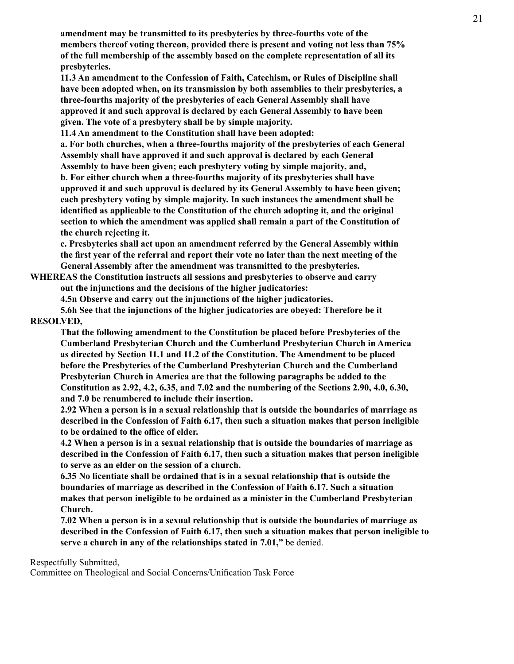**amendment may be transmitted to its presbyteries by three-fourths vote of the members thereof voting thereon, provided there is present and voting not less than 75% of the full membership of the assembly based on the complete representation of all its presbyteries.**

**11.3 An amendment to the Confession of Faith, Catechism, or Rules of Discipline shall have been adopted when, on its transmission by both assemblies to their presbyteries, a three-fourths majority of the presbyteries of each General Assembly shall have approved it and such approval is declared by each General Assembly to have been given. The vote of a presbytery shall be by simple majority.**

**11.4 An amendment to the Constitution shall have been adopted:**

**a. For both churches, when a three-fourths majority of the presbyteries of each General Assembly shall have approved it and such approval is declared by each General Assembly to have been given; each presbytery voting by simple majority, and,**

**b. For either church when a three-fourths majority of its presbyteries shall have approved it and such approval is declared by its General Assembly to have been given; each presbytery voting by simple majority. In such instances the amendment shall be identified as applicable to the Constitution of the church adopting it, and the original section to which the amendment was applied shall remain a part of the Constitution of the church rejecting it.**

**c. Presbyteries shall act upon an amendment referred by the General Assembly within the first year of the referral and report their vote no later than the next meeting of the General Assembly after the amendment was transmitted to the presbyteries.**

**WHEREAS the Constitution instructs all sessions and presbyteries to observe and carry out the injunctions and the decisions of the higher judicatories:**

**4.5n Observe and carry out the injunctions of the higher judicatories.**

**5.6h See that the injunctions of the higher judicatories are obeyed: Therefore be it RESOLVED,**

**That the following amendment to the Constitution be placed before Presbyteries of the Cumberland Presbyterian Church and the Cumberland Presbyterian Church in America as directed by Section 11.1 and 11.2 of the Constitution. The Amendment to be placed before the Presbyteries of the Cumberland Presbyterian Church and the Cumberland Presbyterian Church in America are that the following paragraphs be added to the Constitution as 2.92, 4.2, 6.35, and 7.02 and the numbering of the Sections 2.90, 4.0, 6.30, and 7.0 be renumbered to include their insertion.**

**2.92 When a person is in a sexual relationship that is outside the boundaries of marriage as described in the Confession of Faith 6.17, then such a situation makes that person ineligible to be ordained to the office of elder.**

**4.2 When a person is in a sexual relationship that is outside the boundaries of marriage as described in the Confession of Faith 6.17, then such a situation makes that person ineligible to serve as an elder on the session of a church.**

**6.35 No licentiate shall be ordained that is in a sexual relationship that is outside the boundaries of marriage as described in the Confession of Faith 6.17. Such a situation makes that person ineligible to be ordained as a minister in the Cumberland Presbyterian Church.**

**7.02 When a person is in a sexual relationship that is outside the boundaries of marriage as described in the Confession of Faith 6.17, then such a situation makes that person ineligible to serve a church in any of the relationships stated in 7.01,"** be denied.

Respectfully Submitted,

Committee on Theological and Social Concerns/Unification Task Force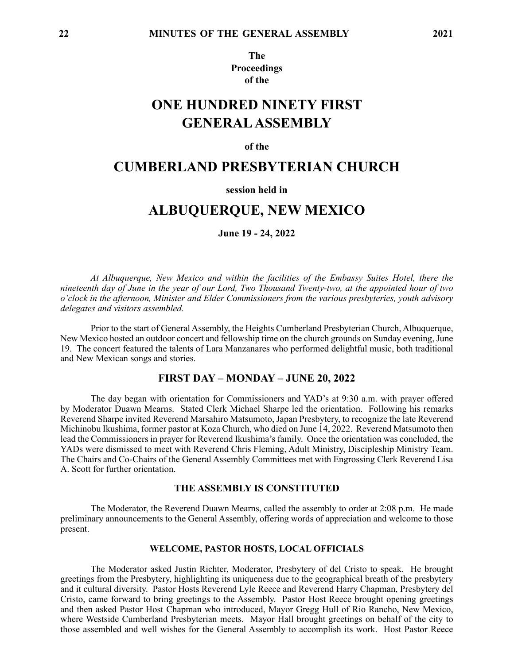**The Proceedings of the**

# **ONE HUNDRED NINETY FIRST GENERAL ASSEMBLY**

#### **of the**

# **CUMBERLAND PRESBYTERIAN CHURCH**

### **session held in**

# **ALBUQUERQUE, NEW MEXICO**

**June 19 - 24, 2022**

*At Albuquerque, New Mexico and within the facilities of the Embassy Suites Hotel, there the nineteenth day of June in the year of our Lord, Two Thousand Twenty-two, at the appointed hour of two o'clock in the afternoon, Minister and Elder Commissioners from the various presbyteries, youth advisory delegates and visitors assembled.*

Prior to the start of General Assembly, the Heights Cumberland Presbyterian Church, Albuquerque, New Mexico hosted an outdoor concert and fellowship time on the church grounds on Sunday evening, June 19. The concert featured the talents of Lara Manzanares who performed delightful music, both traditional and New Mexican songs and stories.

### **FIRST DAY – MONDAY – JUNE 20, 2022**

The day began with orientation for Commissioners and YAD's at 9:30 a.m. with prayer offered by Moderator Duawn Mearns. Stated Clerk Michael Sharpe led the orientation. Following his remarks Reverend Sharpe invited Reverend Marsahiro Matsumoto, Japan Presbytery, to recognize the late Reverend Michinobu Ikushima, former pastor at Koza Church, who died on June 14, 2022. Reverend Matsumoto then lead the Commissioners in prayer for Reverend Ikushima's family. Once the orientation was concluded, the YADs were dismissed to meet with Reverend Chris Fleming, Adult Ministry, Discipleship Ministry Team. The Chairs and Co-Chairs of the General Assembly Committees met with Engrossing Clerk Reverend Lisa A. Scott for further orientation.

### **THE ASSEMBLY IS CONSTITUTED**

The Moderator, the Reverend Duawn Mearns, called the assembly to order at 2:08 p.m. He made preliminary announcements to the General Assembly, offering words of appreciation and welcome to those present.

### **WELCOME, PASTOR HOSTS, LOCAL OFFICIALS**

The Moderator asked Justin Richter, Moderator, Presbytery of del Cristo to speak. He brought greetings from the Presbytery, highlighting its uniqueness due to the geographical breath of the presbytery and it cultural diversity. Pastor Hosts Reverend Lyle Reece and Reverend Harry Chapman, Presbytery del Cristo, came forward to bring greetings to the Assembly. Pastor Host Reece brought opening greetings and then asked Pastor Host Chapman who introduced, Mayor Gregg Hull of Rio Rancho, New Mexico, where Westside Cumberland Presbyterian meets. Mayor Hall brought greetings on behalf of the city to those assembled and well wishes for the General Assembly to accomplish its work. Host Pastor Reece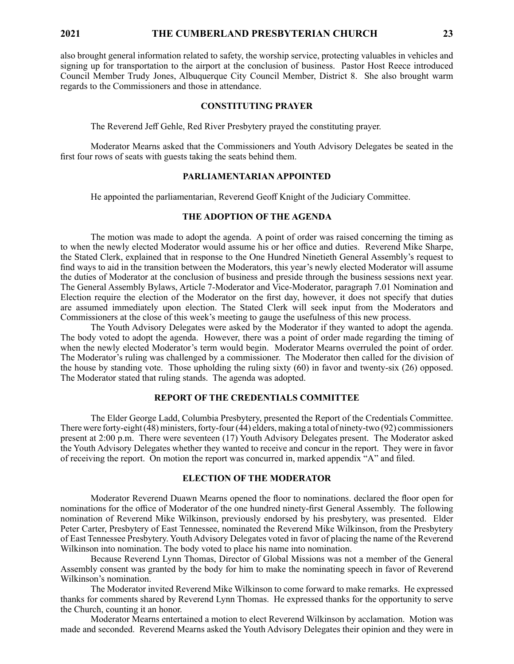### **2021 THE CUMBERLAND PRESBYTERIAN CHURCH 23**

also brought general information related to safety, the worship service, protecting valuables in vehicles and signing up for transportation to the airport at the conclusion of business. Pastor Host Reece introduced Council Member Trudy Jones, Albuquerque City Council Member, District 8. She also brought warm regards to the Commissioners and those in attendance.

#### **CONSTITUTING PRAYER**

The Reverend Jeff Gehle, Red River Presbytery prayed the constituting prayer.

Moderator Mearns asked that the Commissioners and Youth Advisory Delegates be seated in the first four rows of seats with guests taking the seats behind them.

#### **PARLIAMENTARIAN APPOINTED**

He appointed the parliamentarian, Reverend Geoff Knight of the Judiciary Committee.

### **THE ADOPTION OF THE AGENDA**

The motion was made to adopt the agenda. A point of order was raised concerning the timing as to when the newly elected Moderator would assume his or her office and duties. Reverend Mike Sharpe, the Stated Clerk, explained that in response to the One Hundred Ninetieth General Assembly's request to find ways to aid in the transition between the Moderators, this year's newly elected Moderator will assume the duties of Moderator at the conclusion of business and preside through the business sessions next year. The General Assembly Bylaws, Article 7-Moderator and Vice-Moderator, paragraph 7.01 Nomination and Election require the election of the Moderator on the first day, however, it does not specify that duties are assumed immediately upon election. The Stated Clerk will seek input from the Moderators and Commissioners at the close of this week's meeting to gauge the usefulness of this new process.

The Youth Advisory Delegates were asked by the Moderator if they wanted to adopt the agenda. The body voted to adopt the agenda. However, there was a point of order made regarding the timing of when the newly elected Moderator's term would begin. Moderator Mearns overruled the point of order. The Moderator's ruling was challenged by a commissioner. The Moderator then called for the division of the house by standing vote. Those upholding the ruling sixty (60) in favor and twenty-six (26) opposed. The Moderator stated that ruling stands. The agenda was adopted.

#### **REPORT OF THE CREDENTIALS COMMITTEE**

The Elder George Ladd, Columbia Presbytery, presented the Report of the Credentials Committee. There were forty-eight (48) ministers, forty-four (44) elders, making a total of ninety-two (92) commissioners present at 2:00 p.m. There were seventeen (17) Youth Advisory Delegates present. The Moderator asked the Youth Advisory Delegates whether they wanted to receive and concur in the report. They were in favor of receiving the report. On motion the report was concurred in, marked appendix "A" and filed.

#### **ELECTION OF THE MODERATOR**

Moderator Reverend Duawn Mearns opened the floor to nominations. declared the floor open for nominations for the office of Moderator of the one hundred ninety-first General Assembly. The following nomination of Reverend Mike Wilkinson, previously endorsed by his presbytery, was presented. Elder Peter Carter, Presbytery of East Tennessee, nominated the Reverend Mike Wilkinson, from the Presbytery of East Tennessee Presbytery. Youth Advisory Delegates voted in favor of placing the name of the Reverend Wilkinson into nomination. The body voted to place his name into nomination.

Because Reverend Lynn Thomas, Director of Global Missions was not a member of the General Assembly consent was granted by the body for him to make the nominating speech in favor of Reverend Wilkinson's nomination.

The Moderator invited Reverend Mike Wilkinson to come forward to make remarks. He expressed thanks for comments shared by Reverend Lynn Thomas. He expressed thanks for the opportunity to serve the Church, counting it an honor.

Moderator Mearns entertained a motion to elect Reverend Wilkinson by acclamation. Motion was made and seconded. Reverend Mearns asked the Youth Advisory Delegates their opinion and they were in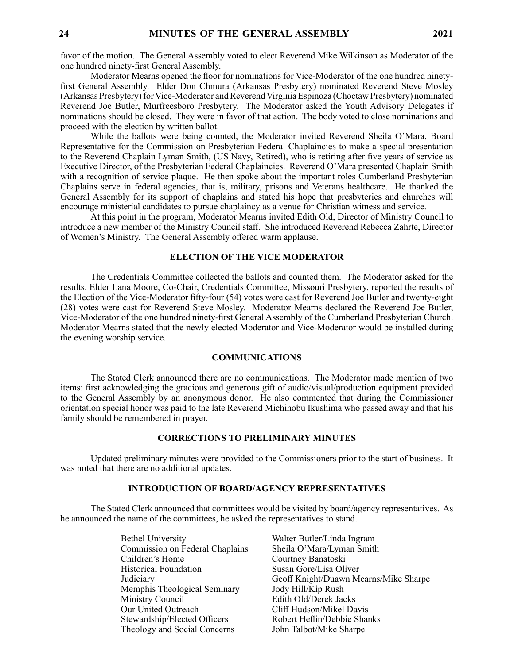favor of the motion. The General Assembly voted to elect Reverend Mike Wilkinson as Moderator of the one hundred ninety-first General Assembly.

Moderator Mearns opened the floor for nominations for Vice-Moderator of the one hundred ninetyfirst General Assembly. Elder Don Chmura (Arkansas Presbytery) nominated Reverend Steve Mosley (Arkansas Presbytery) for Vice-Moderator and Reverend Virginia Espinoza (Choctaw Presbytery) nominated Reverend Joe Butler, Murfreesboro Presbytery. The Moderator asked the Youth Advisory Delegates if nominations should be closed. They were in favor of that action. The body voted to close nominations and proceed with the election by written ballot.

While the ballots were being counted, the Moderator invited Reverend Sheila O'Mara, Board Representative for the Commission on Presbyterian Federal Chaplaincies to make a special presentation to the Reverend Chaplain Lyman Smith, (US Navy, Retired), who is retiring after five years of service as Executive Director, of the Presbyterian Federal Chaplaincies. Reverend O'Mara presented Chaplain Smith with a recognition of service plaque. He then spoke about the important roles Cumberland Presbyterian Chaplains serve in federal agencies, that is, military, prisons and Veterans healthcare. He thanked the General Assembly for its support of chaplains and stated his hope that presbyteries and churches will encourage ministerial candidates to pursue chaplaincy as a venue for Christian witness and service.

At this point in the program, Moderator Mearns invited Edith Old, Director of Ministry Council to introduce a new member of the Ministry Council staff. She introduced Reverend Rebecca Zahrte, Director of Women's Ministry. The General Assembly offered warm applause.

#### **ELECTION OF THE VICE MODERATOR**

The Credentials Committee collected the ballots and counted them. The Moderator asked for the results. Elder Lana Moore, Co-Chair, Credentials Committee, Missouri Presbytery, reported the results of the Election of the Vice-Moderator fifty-four (54) votes were cast for Reverend Joe Butler and twenty-eight (28) votes were cast for Reverend Steve Mosley. Moderator Mearns declared the Reverend Joe Butler, Vice-Moderator of the one hundred ninety-first General Assembly of the Cumberland Presbyterian Church. Moderator Mearns stated that the newly elected Moderator and Vice-Moderator would be installed during the evening worship service.

#### **COMMUNICATIONS**

The Stated Clerk announced there are no communications. The Moderator made mention of two items: first acknowledging the gracious and generous gift of audio/visual/production equipment provided to the General Assembly by an anonymous donor. He also commented that during the Commissioner orientation special honor was paid to the late Reverend Michinobu Ikushima who passed away and that his family should be remembered in prayer.

### **CORRECTIONS TO PRELIMINARY MINUTES**

Updated preliminary minutes were provided to the Commissioners prior to the start of business. It was noted that there are no additional updates.

### **INTRODUCTION OF BOARD/AGENCY REPRESENTATIVES**

The Stated Clerk announced that committees would be visited by board/agency representatives. As he announced the name of the committees, he asked the representatives to stand.

> Bethel University Walter Butler/Linda Ingram Commission on Federal Chaplains Sheila O'Mara/Lyman Smith Children's Home Courtney Banatoski Historical Foundation Susan Gore/Lisa Oliver Memphis Theological Seminary Jody Hill/Kip Rush Ministry Council Edith Old/Derek Jacks Our United Outreach Cliff Hudson/Mikel Davis Stewardship/Elected Officers Robert Heflin/Debbie Shanks Theology and Social Concerns John Talbot/Mike Sharpe

Judiciary Geoff Knight/Duawn Mearns/Mike Sharpe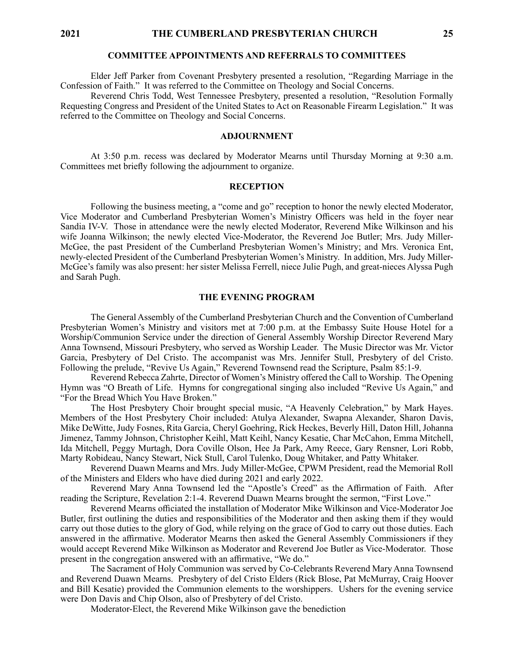### **COMMITTEE APPOINTMENTS AND REFERRALS TO COMMITTEES**

Elder Jeff Parker from Covenant Presbytery presented a resolution, "Regarding Marriage in the Confession of Faith." It was referred to the Committee on Theology and Social Concerns.

Reverend Chris Todd, West Tennessee Presbytery, presented a resolution, "Resolution Formally Requesting Congress and President of the United States to Act on Reasonable Firearm Legislation." It was referred to the Committee on Theology and Social Concerns.

#### **ADJOURNMENT**

At 3:50 p.m. recess was declared by Moderator Mearns until Thursday Morning at 9:30 a.m. Committees met briefly following the adjournment to organize.

#### **RECEPTION**

Following the business meeting, a "come and go" reception to honor the newly elected Moderator, Vice Moderator and Cumberland Presbyterian Women's Ministry Officers was held in the foyer near Sandia IV-V. Those in attendance were the newly elected Moderator, Reverend Mike Wilkinson and his wife Joanna Wilkinson; the newly elected Vice-Moderator, the Reverend Joe Butler; Mrs. Judy Miller-McGee, the past President of the Cumberland Presbyterian Women's Ministry; and Mrs. Veronica Ent, newly-elected President of the Cumberland Presbyterian Women's Ministry. In addition, Mrs. Judy Miller-McGee's family was also present: her sister Melissa Ferrell, niece Julie Pugh, and great-nieces Alyssa Pugh and Sarah Pugh.

#### **THE EVENING PROGRAM**

The General Assembly of the Cumberland Presbyterian Church and the Convention of Cumberland Presbyterian Women's Ministry and visitors met at 7:00 p.m. at the Embassy Suite House Hotel for a Worship/Communion Service under the direction of General Assembly Worship Director Reverend Mary Anna Townsend, Missouri Presbytery, who served as Worship Leader. The Music Director was Mr. Victor Garcia, Presbytery of Del Cristo. The accompanist was Mrs. Jennifer Stull, Presbytery of del Cristo. Following the prelude, "Revive Us Again," Reverend Townsend read the Scripture, Psalm 85:1-9.

Reverend Rebecca Zahrte, Director of Women's Ministry offered the Call to Worship. The Opening Hymn was "O Breath of Life. Hymns for congregational singing also included "Revive Us Again," and "For the Bread Which You Have Broken."

The Host Presbytery Choir brought special music, "A Heavenly Celebration," by Mark Hayes. Members of the Host Presbytery Choir included: Atulya Alexander, Swapna Alexander, Sharon Davis, Mike DeWitte, Judy Fosnes, Rita Garcia, Cheryl Goehring, Rick Heckes, Beverly Hill, Daton Hill, Johanna Jimenez, Tammy Johnson, Christopher Keihl, Matt Keihl, Nancy Kesatie, Char McCahon, Emma Mitchell, Ida Mitchell, Peggy Murtagh, Dora Coville Olson, Hee Ja Park, Amy Reece, Gary Rensner, Lori Robb, Marty Robideau, Nancy Stewart, Nick Stull, Carol Tulenko, Doug Whitaker, and Patty Whitaker.

Reverend Duawn Mearns and Mrs. Judy Miller-McGee, CPWM President, read the Memorial Roll of the Ministers and Elders who have died during 2021 and early 2022.

Reverend Mary Anna Townsend led the "Apostle's Creed" as the Affirmation of Faith. After reading the Scripture, Revelation 2:1-4. Reverend Duawn Mearns brought the sermon, "First Love."

Reverend Mearns officiated the installation of Moderator Mike Wilkinson and Vice-Moderator Joe Butler, first outlining the duties and responsibilities of the Moderator and then asking them if they would carry out those duties to the glory of God, while relying on the grace of God to carry out those duties. Each answered in the affirmative. Moderator Mearns then asked the General Assembly Commissioners if they would accept Reverend Mike Wilkinson as Moderator and Reverend Joe Butler as Vice-Moderator. Those present in the congregation answered with an affirmative, "We do."

The Sacrament of Holy Communion was served by Co-Celebrants Reverend Mary Anna Townsend and Reverend Duawn Mearns. Presbytery of del Cristo Elders (Rick Blose, Pat McMurray, Craig Hoover and Bill Kesatie) provided the Communion elements to the worshippers. Ushers for the evening service were Don Davis and Chip Olson, also of Presbytery of del Cristo.

Moderator-Elect, the Reverend Mike Wilkinson gave the benediction